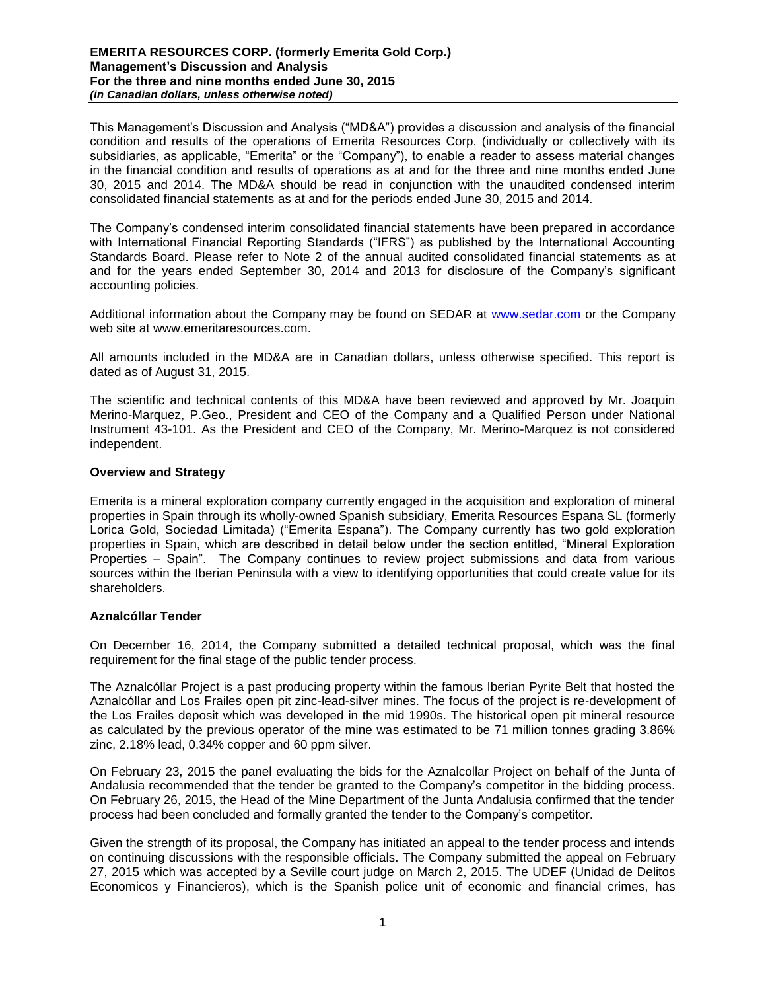This Management's Discussion and Analysis ("MD&A") provides a discussion and analysis of the financial condition and results of the operations of Emerita Resources Corp. (individually or collectively with its subsidiaries, as applicable, "Emerita" or the "Company"), to enable a reader to assess material changes in the financial condition and results of operations as at and for the three and nine months ended June 30, 2015 and 2014. The MD&A should be read in conjunction with the unaudited condensed interim consolidated financial statements as at and for the periods ended June 30, 2015 and 2014.

The Company's condensed interim consolidated financial statements have been prepared in accordance with International Financial Reporting Standards ("IFRS") as published by the International Accounting Standards Board. Please refer to Note 2 of the annual audited consolidated financial statements as at and for the years ended September 30, 2014 and 2013 for disclosure of the Company's significant accounting policies.

Additional information about the Company may be found on SEDAR at [www.sedar.com](http://www.sedar.com/) or the Company web site at www.emeritaresources.com.

All amounts included in the MD&A are in Canadian dollars, unless otherwise specified. This report is dated as of August 31, 2015.

The scientific and technical contents of this MD&A have been reviewed and approved by Mr. Joaquin Merino-Marquez, P.Geo., President and CEO of the Company and a Qualified Person under National Instrument 43-101. As the President and CEO of the Company, Mr. Merino-Marquez is not considered independent.

## **Overview and Strategy**

Emerita is a mineral exploration company currently engaged in the acquisition and exploration of mineral properties in Spain through its wholly-owned Spanish subsidiary, Emerita Resources Espana SL (formerly Lorica Gold, Sociedad Limitada) ("Emerita Espana"). The Company currently has two gold exploration properties in Spain, which are described in detail below under the section entitled, "Mineral Exploration Properties – Spain". The Company continues to review project submissions and data from various sources within the Iberian Peninsula with a view to identifying opportunities that could create value for its shareholders.

## **Aznalcóllar Tender**

On December 16, 2014, the Company submitted a detailed technical proposal, which was the final requirement for the final stage of the public tender process.

The Aznalcóllar Project is a past producing property within the famous Iberian Pyrite Belt that hosted the Aznalcóllar and Los Frailes open pit zinc-lead-silver mines. The focus of the project is re-development of the Los Frailes deposit which was developed in the mid 1990s. The historical open pit mineral resource as calculated by the previous operator of the mine was estimated to be 71 million tonnes grading 3.86% zinc, 2.18% lead, 0.34% copper and 60 ppm silver.

On February 23, 2015 the panel evaluating the bids for the Aznalcollar Project on behalf of the Junta of Andalusia recommended that the tender be granted to the Company's competitor in the bidding process. On February 26, 2015, the Head of the Mine Department of the Junta Andalusia confirmed that the tender process had been concluded and formally granted the tender to the Company's competitor.

Given the strength of its proposal, the Company has initiated an appeal to the tender process and intends on continuing discussions with the responsible officials. The Company submitted the appeal on February 27, 2015 which was accepted by a Seville court judge on March 2, 2015. The UDEF (Unidad de Delitos Economicos y Financieros), which is the Spanish police unit of economic and financial crimes, has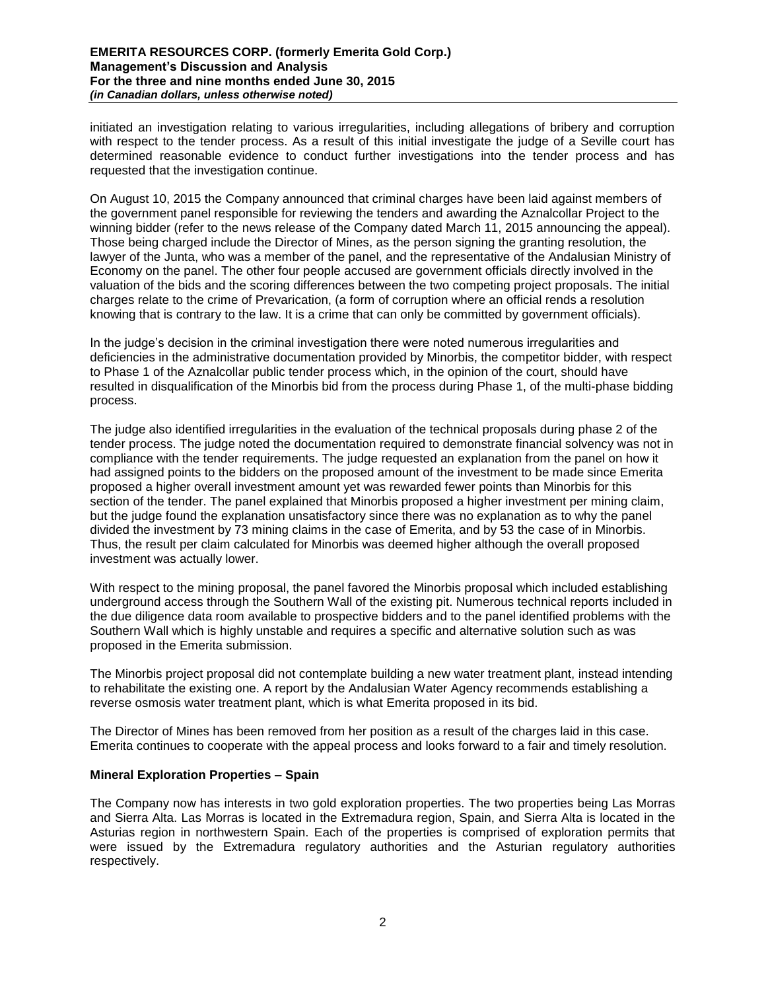initiated an investigation relating to various irregularities, including allegations of bribery and corruption with respect to the tender process. As a result of this initial investigate the judge of a Seville court has determined reasonable evidence to conduct further investigations into the tender process and has requested that the investigation continue.

On August 10, 2015 the Company announced that criminal charges have been laid against members of the government panel responsible for reviewing the tenders and awarding the Aznalcollar Project to the winning bidder (refer to the news release of the Company dated March 11, 2015 announcing the appeal). Those being charged include the Director of Mines, as the person signing the granting resolution, the lawyer of the Junta, who was a member of the panel, and the representative of the Andalusian Ministry of Economy on the panel. The other four people accused are government officials directly involved in the valuation of the bids and the scoring differences between the two competing project proposals. The initial charges relate to the crime of Prevarication, (a form of corruption where an official rends a resolution knowing that is contrary to the law. It is a crime that can only be committed by government officials).

In the judge's decision in the criminal investigation there were noted numerous irregularities and deficiencies in the administrative documentation provided by Minorbis, the competitor bidder, with respect to Phase 1 of the Aznalcollar public tender process which, in the opinion of the court, should have resulted in disqualification of the Minorbis bid from the process during Phase 1, of the multi-phase bidding process.

The judge also identified irregularities in the evaluation of the technical proposals during phase 2 of the tender process. The judge noted the documentation required to demonstrate financial solvency was not in compliance with the tender requirements. The judge requested an explanation from the panel on how it had assigned points to the bidders on the proposed amount of the investment to be made since Emerita proposed a higher overall investment amount yet was rewarded fewer points than Minorbis for this section of the tender. The panel explained that Minorbis proposed a higher investment per mining claim, but the judge found the explanation unsatisfactory since there was no explanation as to why the panel divided the investment by 73 mining claims in the case of Emerita, and by 53 the case of in Minorbis. Thus, the result per claim calculated for Minorbis was deemed higher although the overall proposed investment was actually lower.

With respect to the mining proposal, the panel favored the Minorbis proposal which included establishing underground access through the Southern Wall of the existing pit. Numerous technical reports included in the due diligence data room available to prospective bidders and to the panel identified problems with the Southern Wall which is highly unstable and requires a specific and alternative solution such as was proposed in the Emerita submission.

The Minorbis project proposal did not contemplate building a new water treatment plant, instead intending to rehabilitate the existing one. A report by the Andalusian Water Agency recommends establishing a reverse osmosis water treatment plant, which is what Emerita proposed in its bid.

The Director of Mines has been removed from her position as a result of the charges laid in this case. Emerita continues to cooperate with the appeal process and looks forward to a fair and timely resolution.

## **Mineral Exploration Properties – Spain**

The Company now has interests in two gold exploration properties. The two properties being Las Morras and Sierra Alta. Las Morras is located in the Extremadura region, Spain, and Sierra Alta is located in the Asturias region in northwestern Spain. Each of the properties is comprised of exploration permits that were issued by the Extremadura regulatory authorities and the Asturian regulatory authorities respectively.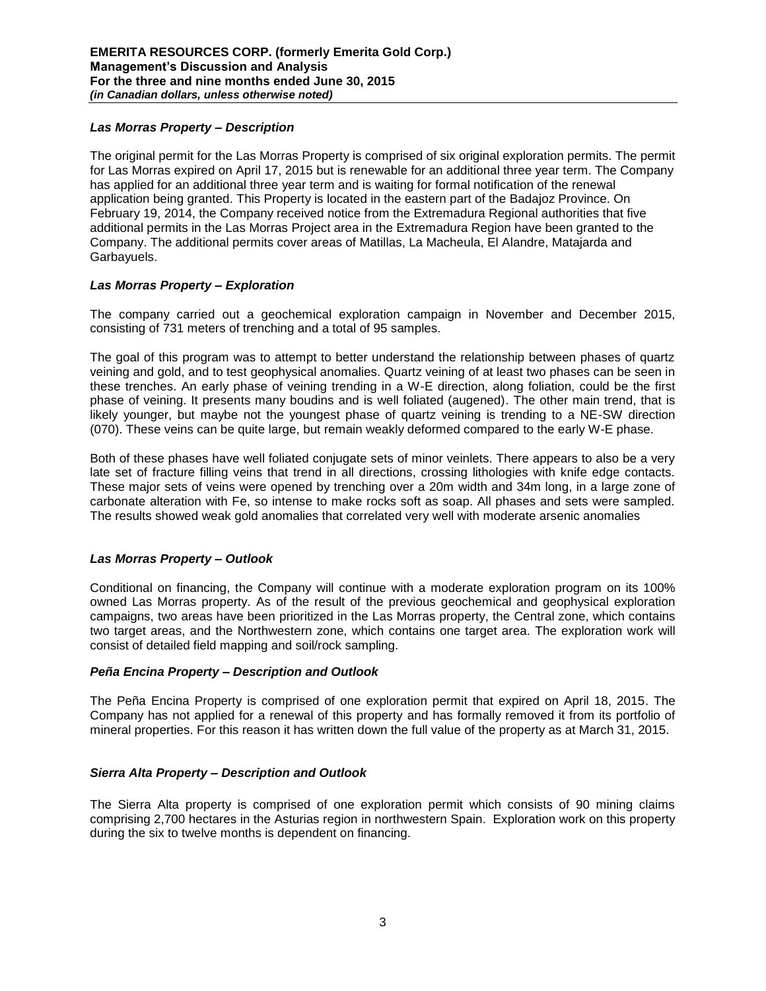## *Las Morras Property – Description*

The original permit for the Las Morras Property is comprised of six original exploration permits. The permit for Las Morras expired on April 17, 2015 but is renewable for an additional three year term. The Company has applied for an additional three year term and is waiting for formal notification of the renewal application being granted. This Property is located in the eastern part of the Badajoz Province. On February 19, 2014, the Company received notice from the Extremadura Regional authorities that five additional permits in the Las Morras Project area in the Extremadura Region have been granted to the Company. The additional permits cover areas of Matillas, La Macheula, El Alandre, Matajarda and Garbayuels.

## *Las Morras Property – Exploration*

The company carried out a geochemical exploration campaign in November and December 2015, consisting of 731 meters of trenching and a total of 95 samples.

The goal of this program was to attempt to better understand the relationship between phases of quartz veining and gold, and to test geophysical anomalies. Quartz veining of at least two phases can be seen in these trenches. An early phase of veining trending in a W-E direction, along foliation, could be the first phase of veining. It presents many boudins and is well foliated (augened). The other main trend, that is likely younger, but maybe not the youngest phase of quartz veining is trending to a NE-SW direction (070). These veins can be quite large, but remain weakly deformed compared to the early W-E phase.

Both of these phases have well foliated conjugate sets of minor veinlets. There appears to also be a very late set of fracture filling veins that trend in all directions, crossing lithologies with knife edge contacts. These major sets of veins were opened by trenching over a 20m width and 34m long, in a large zone of carbonate alteration with Fe, so intense to make rocks soft as soap. All phases and sets were sampled. The results showed weak gold anomalies that correlated very well with moderate arsenic anomalies

# *Las Morras Property – Outlook*

Conditional on financing, the Company will continue with a moderate exploration program on its 100% owned Las Morras property. As of the result of the previous geochemical and geophysical exploration campaigns, two areas have been prioritized in the Las Morras property, the Central zone, which contains two target areas, and the Northwestern zone, which contains one target area. The exploration work will consist of detailed field mapping and soil/rock sampling.

## *Peña Encina Property – Description and Outlook*

The Peña Encina Property is comprised of one exploration permit that expired on April 18, 2015. The Company has not applied for a renewal of this property and has formally removed it from its portfolio of mineral properties. For this reason it has written down the full value of the property as at March 31, 2015.

## *Sierra Alta Property – Description and Outlook*

The Sierra Alta property is comprised of one exploration permit which consists of 90 mining claims comprising 2,700 hectares in the Asturias region in northwestern Spain. Exploration work on this property during the six to twelve months is dependent on financing.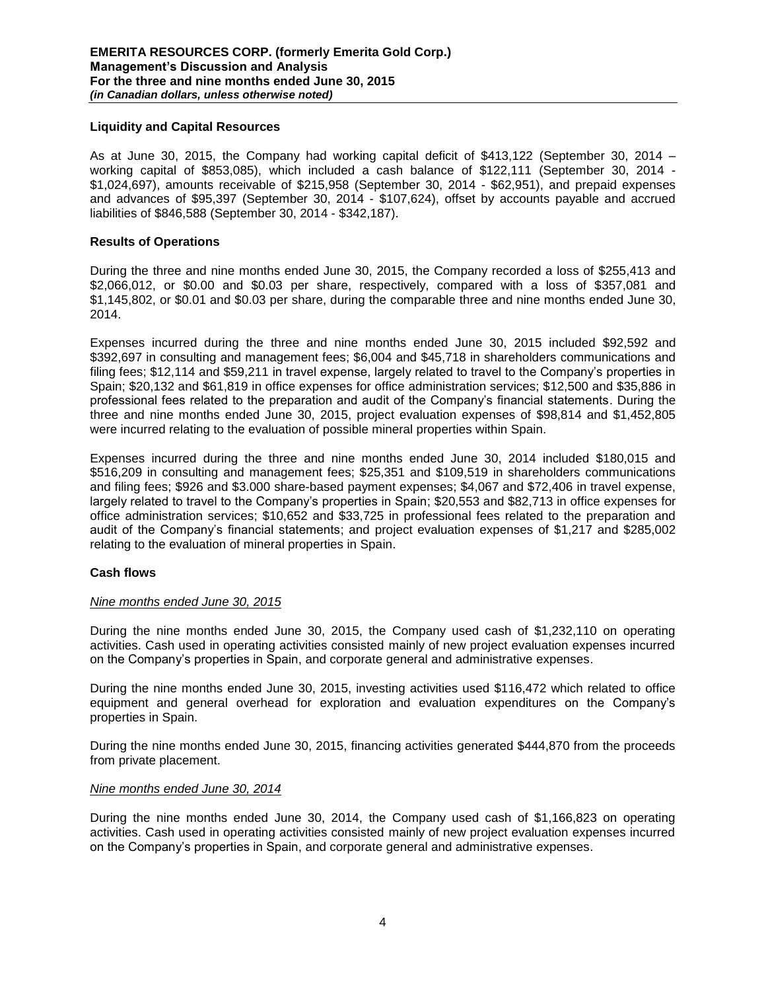#### **Liquidity and Capital Resources**

As at June 30, 2015, the Company had working capital deficit of \$413,122 (September 30, 2014 – working capital of \$853,085), which included a cash balance of \$122,111 (September 30, 2014 - \$1,024,697), amounts receivable of \$215,958 (September 30, 2014 - \$62,951), and prepaid expenses and advances of \$95,397 (September 30, 2014 - \$107,624), offset by accounts payable and accrued liabilities of \$846,588 (September 30, 2014 - \$342,187).

#### **Results of Operations**

During the three and nine months ended June 30, 2015, the Company recorded a loss of \$255,413 and \$2,066,012, or \$0.00 and \$0.03 per share, respectively, compared with a loss of \$357,081 and \$1,145,802, or \$0.01 and \$0.03 per share, during the comparable three and nine months ended June 30, 2014.

Expenses incurred during the three and nine months ended June 30, 2015 included \$92,592 and \$392,697 in consulting and management fees; \$6,004 and \$45,718 in shareholders communications and filing fees; \$12,114 and \$59,211 in travel expense, largely related to travel to the Company's properties in Spain; \$20,132 and \$61,819 in office expenses for office administration services; \$12,500 and \$35,886 in professional fees related to the preparation and audit of the Company's financial statements. During the three and nine months ended June 30, 2015, project evaluation expenses of \$98,814 and \$1,452,805 were incurred relating to the evaluation of possible mineral properties within Spain.

Expenses incurred during the three and nine months ended June 30, 2014 included \$180,015 and \$516,209 in consulting and management fees; \$25,351 and \$109,519 in shareholders communications and filing fees; \$926 and \$3.000 share-based payment expenses; \$4,067 and \$72,406 in travel expense, largely related to travel to the Company's properties in Spain; \$20,553 and \$82,713 in office expenses for office administration services; \$10,652 and \$33,725 in professional fees related to the preparation and audit of the Company's financial statements; and project evaluation expenses of \$1,217 and \$285,002 relating to the evaluation of mineral properties in Spain.

## **Cash flows**

#### *Nine months ended June 30, 2015*

During the nine months ended June 30, 2015, the Company used cash of \$1,232,110 on operating activities. Cash used in operating activities consisted mainly of new project evaluation expenses incurred on the Company's properties in Spain, and corporate general and administrative expenses.

During the nine months ended June 30, 2015, investing activities used \$116,472 which related to office equipment and general overhead for exploration and evaluation expenditures on the Company's properties in Spain.

During the nine months ended June 30, 2015, financing activities generated \$444,870 from the proceeds from private placement.

#### *Nine months ended June 30, 2014*

During the nine months ended June 30, 2014, the Company used cash of \$1,166,823 on operating activities. Cash used in operating activities consisted mainly of new project evaluation expenses incurred on the Company's properties in Spain, and corporate general and administrative expenses.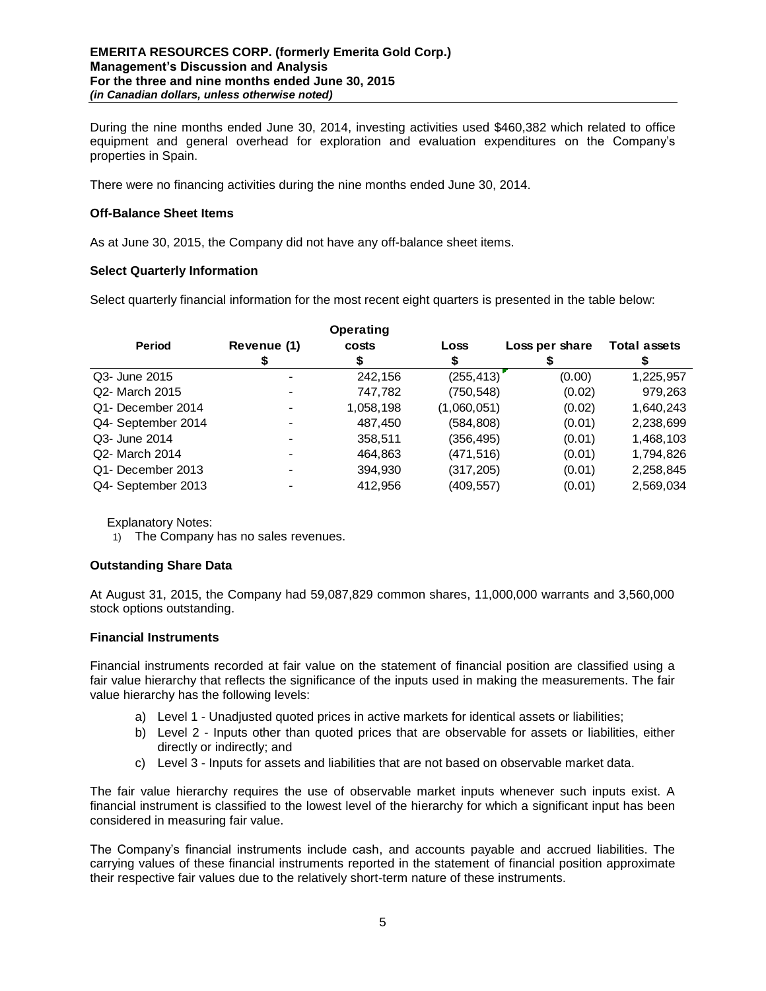During the nine months ended June 30, 2014, investing activities used \$460,382 which related to office equipment and general overhead for exploration and evaluation expenditures on the Company's properties in Spain.

There were no financing activities during the nine months ended June 30, 2014.

### **Off-Balance Sheet Items**

As at June 30, 2015, the Company did not have any off-balance sheet items.

### **Select Quarterly Information**

Select quarterly financial information for the most recent eight quarters is presented in the table below:

|                    |             | <b>Operating</b> |             |                |                     |  |
|--------------------|-------------|------------------|-------------|----------------|---------------------|--|
| <b>Period</b>      | Revenue (1) | costs            | Loss        | Loss per share | <b>Total assets</b> |  |
|                    |             |                  |             |                |                     |  |
| Q3- June 2015      |             | 242,156          | (255, 413)  | (0.00)         | 1,225,957           |  |
| Q2- March 2015     |             | 747,782          | (750, 548)  | (0.02)         | 979,263             |  |
| Q1- December 2014  |             | 1,058,198        | (1,060,051) | (0.02)         | 1,640,243           |  |
| Q4- September 2014 |             | 487,450          | (584, 808)  | (0.01)         | 2,238,699           |  |
| Q3- June 2014      |             | 358,511          | (356,495)   | (0.01)         | 1,468,103           |  |
| Q2- March 2014     |             | 464,863          | (471,516)   | (0.01)         | 1,794,826           |  |
| Q1- December 2013  |             | 394,930          | (317, 205)  | (0.01)         | 2,258,845           |  |
| Q4- September 2013 |             | 412,956          | (409,557)   | (0.01)         | 2,569,034           |  |

Explanatory Notes:

1) The Company has no sales revenues.

## **Outstanding Share Data**

At August 31, 2015, the Company had 59,087,829 common shares, 11,000,000 warrants and 3,560,000 stock options outstanding.

#### **Financial Instruments**

Financial instruments recorded at fair value on the statement of financial position are classified using a fair value hierarchy that reflects the significance of the inputs used in making the measurements. The fair value hierarchy has the following levels:

- a) Level 1 Unadjusted quoted prices in active markets for identical assets or liabilities;
- b) Level 2 Inputs other than quoted prices that are observable for assets or liabilities, either directly or indirectly; and
- c) Level 3 Inputs for assets and liabilities that are not based on observable market data.

The fair value hierarchy requires the use of observable market inputs whenever such inputs exist. A financial instrument is classified to the lowest level of the hierarchy for which a significant input has been considered in measuring fair value.

The Company's financial instruments include cash, and accounts payable and accrued liabilities. The carrying values of these financial instruments reported in the statement of financial position approximate their respective fair values due to the relatively short-term nature of these instruments.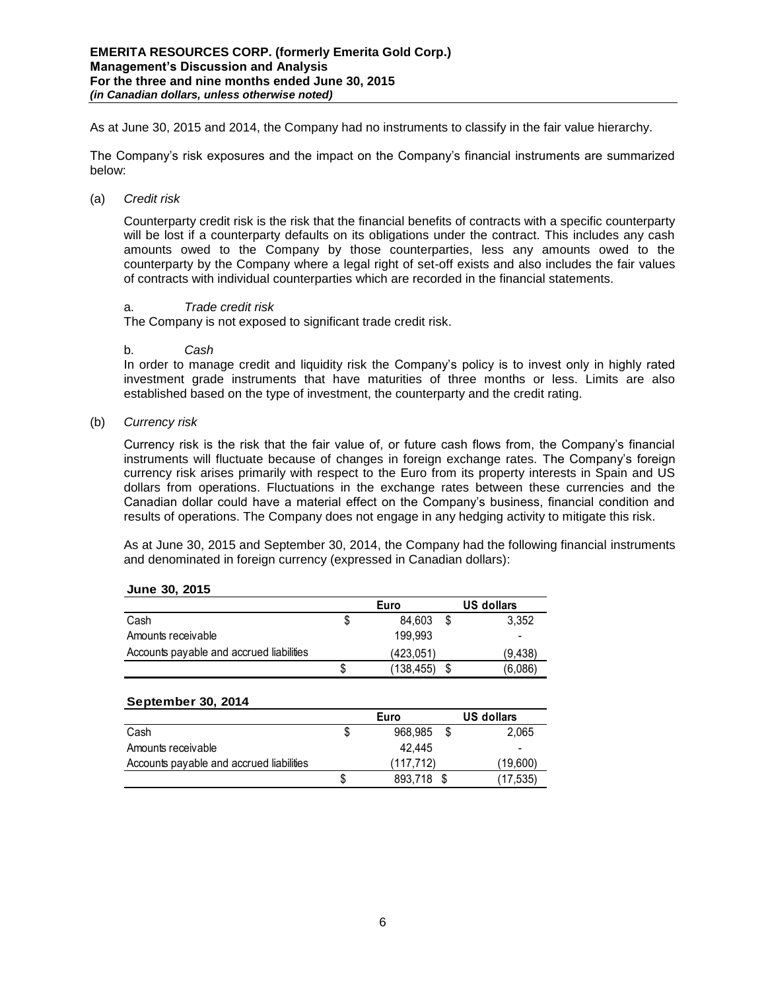As at June 30, 2015 and 2014, the Company had no instruments to classify in the fair value hierarchy.

The Company's risk exposures and the impact on the Company's financial instruments are summarized below:

(a) *Credit risk* 

Counterparty credit risk is the risk that the financial benefits of contracts with a specific counterparty will be lost if a counterparty defaults on its obligations under the contract. This includes any cash amounts owed to the Company by those counterparties, less any amounts owed to the counterparty by the Company where a legal right of set-off exists and also includes the fair values of contracts with individual counterparties which are recorded in the financial statements.

## a. *Trade credit risk*

The Company is not exposed to significant trade credit risk.

### b. *Cash*

In order to manage credit and liquidity risk the Company's policy is to invest only in highly rated investment grade instruments that have maturities of three months or less. Limits are also established based on the type of investment, the counterparty and the credit rating.

(b) *Currency risk* 

Currency risk is the risk that the fair value of, or future cash flows from, the Company's financial instruments will fluctuate because of changes in foreign exchange rates. The Company's foreign currency risk arises primarily with respect to the Euro from its property interests in Spain and US dollars from operations. Fluctuations in the exchange rates between these currencies and the Canadian dollar could have a material effect on the Company's business, financial condition and results of operations. The Company does not engage in any hedging activity to mitigate this risk.

As at June 30, 2015 and September 30, 2014, the Company had the following financial instruments and denominated in foreign currency (expressed in Canadian dollars):

|                                          |   | Euro       | US dollars               |  |  |
|------------------------------------------|---|------------|--------------------------|--|--|
| Cash                                     |   | 84.603     | 3.352                    |  |  |
| Amounts receivable                       |   | 199.993    | $\overline{\phantom{0}}$ |  |  |
| Accounts payable and accrued liabilities |   | (423.051)  | (9.438)                  |  |  |
|                                          | S | (138, 455) | (6,086)                  |  |  |

#### **September 30, 2014**

|                                          |   | Euro      | <b>US dollars</b> |                          |  |
|------------------------------------------|---|-----------|-------------------|--------------------------|--|
| Cash                                     |   | 968.985   |                   | 2.065                    |  |
| Amounts receivable                       |   | 42.445    |                   | $\overline{\phantom{0}}$ |  |
| Accounts payable and accrued liabilities |   | (117.712) | (19.600)          |                          |  |
|                                          | S | 893.718   |                   | (17.535)                 |  |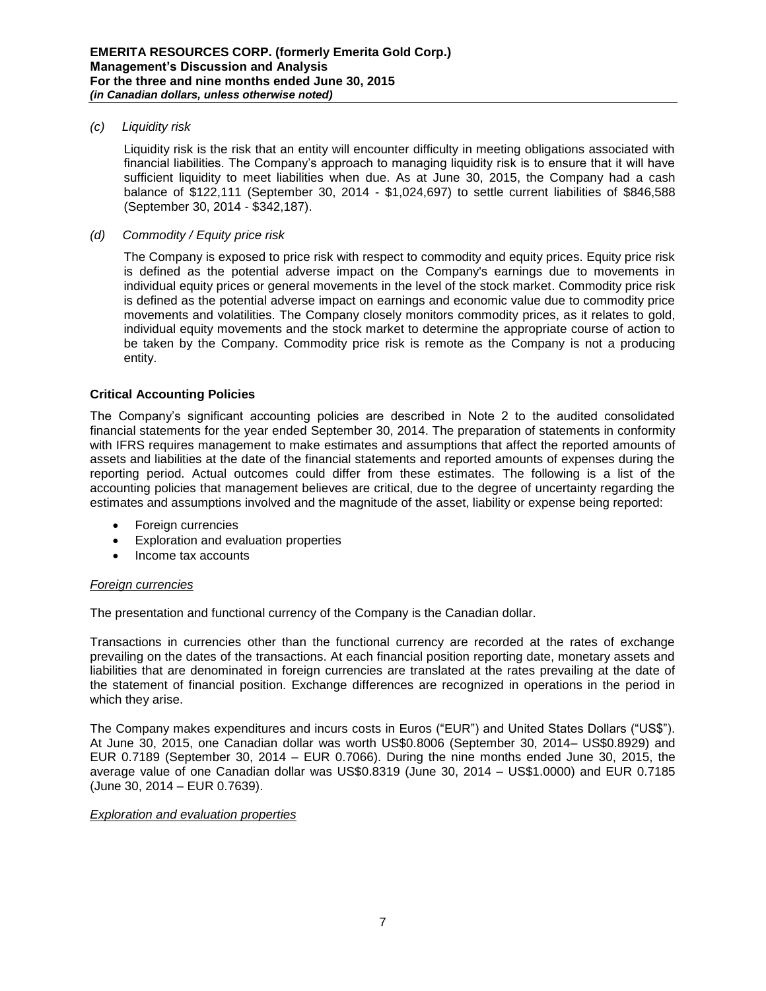### *(c) Liquidity risk*

Liquidity risk is the risk that an entity will encounter difficulty in meeting obligations associated with financial liabilities. The Company's approach to managing liquidity risk is to ensure that it will have sufficient liquidity to meet liabilities when due. As at June 30, 2015, the Company had a cash balance of \$122,111 (September 30, 2014 - \$1,024,697) to settle current liabilities of \$846,588 (September 30, 2014 - \$342,187).

## *(d) Commodity / Equity price risk*

The Company is exposed to price risk with respect to commodity and equity prices. Equity price risk is defined as the potential adverse impact on the Company's earnings due to movements in individual equity prices or general movements in the level of the stock market. Commodity price risk is defined as the potential adverse impact on earnings and economic value due to commodity price movements and volatilities. The Company closely monitors commodity prices, as it relates to gold, individual equity movements and the stock market to determine the appropriate course of action to be taken by the Company. Commodity price risk is remote as the Company is not a producing entity.

### **Critical Accounting Policies**

The Company's significant accounting policies are described in Note 2 to the audited consolidated financial statements for the year ended September 30, 2014. The preparation of statements in conformity with IFRS requires management to make estimates and assumptions that affect the reported amounts of assets and liabilities at the date of the financial statements and reported amounts of expenses during the reporting period. Actual outcomes could differ from these estimates. The following is a list of the accounting policies that management believes are critical, due to the degree of uncertainty regarding the estimates and assumptions involved and the magnitude of the asset, liability or expense being reported:

- Foreign currencies
- Exploration and evaluation properties
- Income tax accounts

## *Foreign currencies*

The presentation and functional currency of the Company is the Canadian dollar.

Transactions in currencies other than the functional currency are recorded at the rates of exchange prevailing on the dates of the transactions. At each financial position reporting date, monetary assets and liabilities that are denominated in foreign currencies are translated at the rates prevailing at the date of the statement of financial position. Exchange differences are recognized in operations in the period in which they arise.

The Company makes expenditures and incurs costs in Euros ("EUR") and United States Dollars ("US\$"). At June 30, 2015, one Canadian dollar was worth US\$0.8006 (September 30, 2014– US\$0.8929) and EUR 0.7189 (September 30, 2014 – EUR 0.7066). During the nine months ended June 30, 2015, the average value of one Canadian dollar was US\$0.8319 (June 30, 2014 – US\$1.0000) and EUR 0.7185 (June 30, 2014 – EUR 0.7639).

## *Exploration and evaluation properties*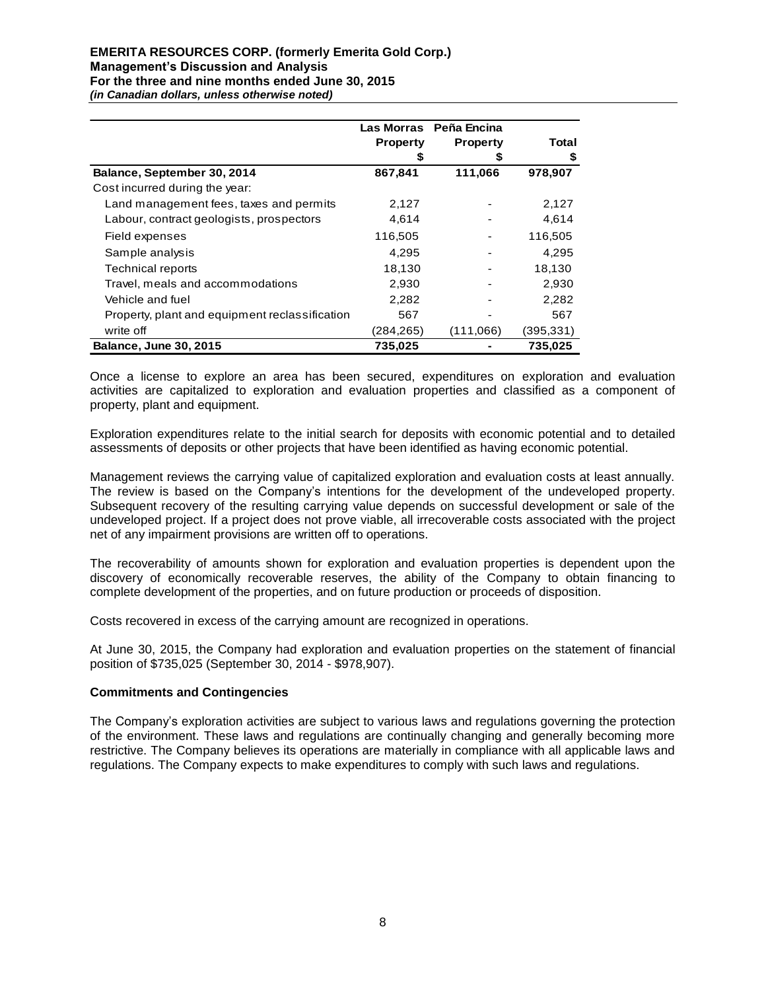|                                                | Las Morras      | Peña Encina     |            |
|------------------------------------------------|-----------------|-----------------|------------|
|                                                | <b>Property</b> | <b>Property</b> | Total      |
|                                                |                 |                 | \$         |
| Balance, September 30, 2014                    | 867,841         | 111,066         | 978,907    |
| Cost incurred during the year:                 |                 |                 |            |
| Land management fees, taxes and permits        | 2,127           |                 | 2,127      |
| Labour, contract geologists, prospectors       | 4,614           |                 | 4,614      |
| Field expenses                                 | 116,505         |                 | 116,505    |
| Sample analysis                                | 4,295           |                 | 4,295      |
| <b>Technical reports</b>                       | 18,130          |                 | 18,130     |
| Travel, meals and accommodations               | 2,930           |                 | 2,930      |
| Vehicle and fuel                               | 2,282           |                 | 2,282      |
| Property, plant and equipment reclassification | 567             |                 | 567        |
| write off                                      | (284,265)       | (111,066)       | (395, 331) |
| <b>Balance, June 30, 2015</b>                  | 735,025         |                 | 735,025    |

Once a license to explore an area has been secured, expenditures on exploration and evaluation activities are capitalized to exploration and evaluation properties and classified as a component of property, plant and equipment.

Exploration expenditures relate to the initial search for deposits with economic potential and to detailed assessments of deposits or other projects that have been identified as having economic potential.

Management reviews the carrying value of capitalized exploration and evaluation costs at least annually. The review is based on the Company's intentions for the development of the undeveloped property. Subsequent recovery of the resulting carrying value depends on successful development or sale of the undeveloped project. If a project does not prove viable, all irrecoverable costs associated with the project net of any impairment provisions are written off to operations.

The recoverability of amounts shown for exploration and evaluation properties is dependent upon the discovery of economically recoverable reserves, the ability of the Company to obtain financing to complete development of the properties, and on future production or proceeds of disposition.

Costs recovered in excess of the carrying amount are recognized in operations.

At June 30, 2015, the Company had exploration and evaluation properties on the statement of financial position of \$735,025 (September 30, 2014 - \$978,907).

#### **Commitments and Contingencies**

The Company's exploration activities are subject to various laws and regulations governing the protection of the environment. These laws and regulations are continually changing and generally becoming more restrictive. The Company believes its operations are materially in compliance with all applicable laws and regulations. The Company expects to make expenditures to comply with such laws and regulations.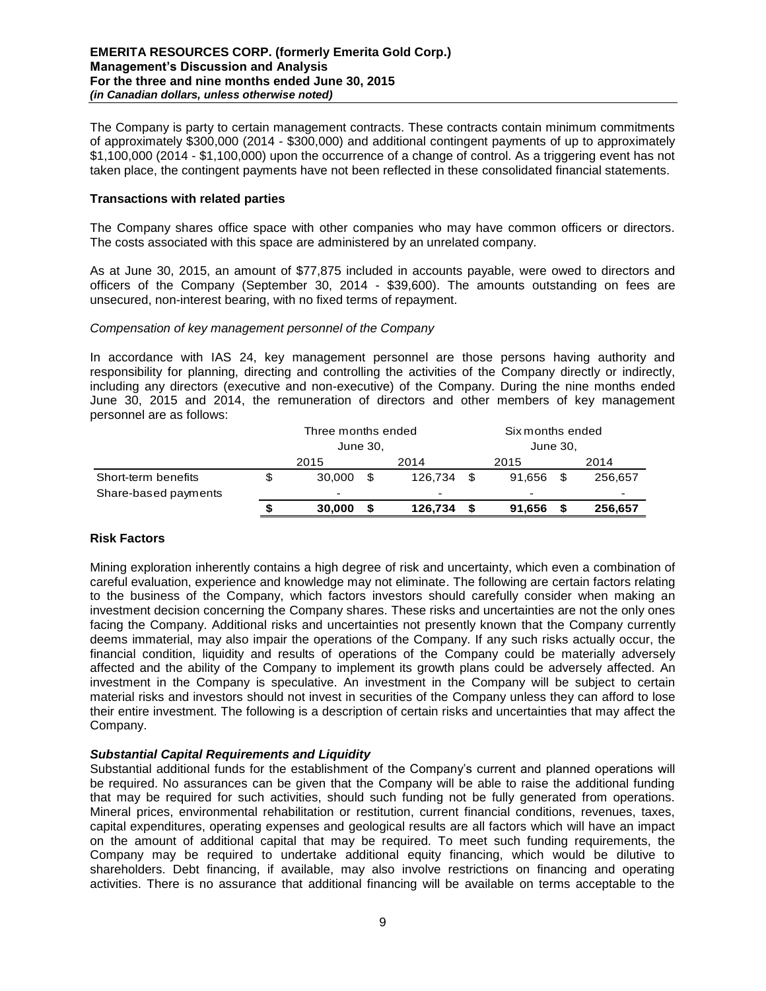The Company is party to certain management contracts. These contracts contain minimum commitments of approximately \$300,000 (2014 - \$300,000) and additional contingent payments of up to approximately \$1,100,000 (2014 - \$1,100,000) upon the occurrence of a change of control. As a triggering event has not taken place, the contingent payments have not been reflected in these consolidated financial statements.

## **Transactions with related parties**

The Company shares office space with other companies who may have common officers or directors. The costs associated with this space are administered by an unrelated company.

As at June 30, 2015, an amount of \$77,875 included in accounts payable, were owed to directors and officers of the Company (September 30, 2014 - \$39,600). The amounts outstanding on fees are unsecured, non-interest bearing, with no fixed terms of repayment.

#### *Compensation of key management personnel of the Company*

In accordance with IAS 24, key management personnel are those persons having authority and responsibility for planning, directing and controlling the activities of the Company directly or indirectly, including any directors (executive and non-executive) of the Company. During the nine months ended June 30, 2015 and 2014, the remuneration of directors and other members of key management personnel are as follows:

|                      | Three months ended |                          |     |         |          | Six months ended |      |         |  |
|----------------------|--------------------|--------------------------|-----|---------|----------|------------------|------|---------|--|
|                      |                    | June 30,                 |     |         | June 30, |                  |      |         |  |
|                      |                    | 2015                     |     | 2014    |          | 2015             | 2014 |         |  |
| Short-term benefits  | \$                 | 30,000                   | \$. | 126.734 |          | 91.656           |      | 256,657 |  |
| Share-based payments |                    | $\overline{\phantom{a}}$ |     | -       |          | -                |      | -       |  |
|                      | S                  | 30,000                   |     | 126,734 |          | 91,656           |      | 256,657 |  |

## **Risk Factors**

Mining exploration inherently contains a high degree of risk and uncertainty, which even a combination of careful evaluation, experience and knowledge may not eliminate. The following are certain factors relating to the business of the Company, which factors investors should carefully consider when making an investment decision concerning the Company shares. These risks and uncertainties are not the only ones facing the Company. Additional risks and uncertainties not presently known that the Company currently deems immaterial, may also impair the operations of the Company. If any such risks actually occur, the financial condition, liquidity and results of operations of the Company could be materially adversely affected and the ability of the Company to implement its growth plans could be adversely affected. An investment in the Company is speculative. An investment in the Company will be subject to certain material risks and investors should not invest in securities of the Company unless they can afford to lose their entire investment. The following is a description of certain risks and uncertainties that may affect the Company.

## *Substantial Capital Requirements and Liquidity*

Substantial additional funds for the establishment of the Company's current and planned operations will be required. No assurances can be given that the Company will be able to raise the additional funding that may be required for such activities, should such funding not be fully generated from operations. Mineral prices, environmental rehabilitation or restitution, current financial conditions, revenues, taxes, capital expenditures, operating expenses and geological results are all factors which will have an impact on the amount of additional capital that may be required. To meet such funding requirements, the Company may be required to undertake additional equity financing, which would be dilutive to shareholders. Debt financing, if available, may also involve restrictions on financing and operating activities. There is no assurance that additional financing will be available on terms acceptable to the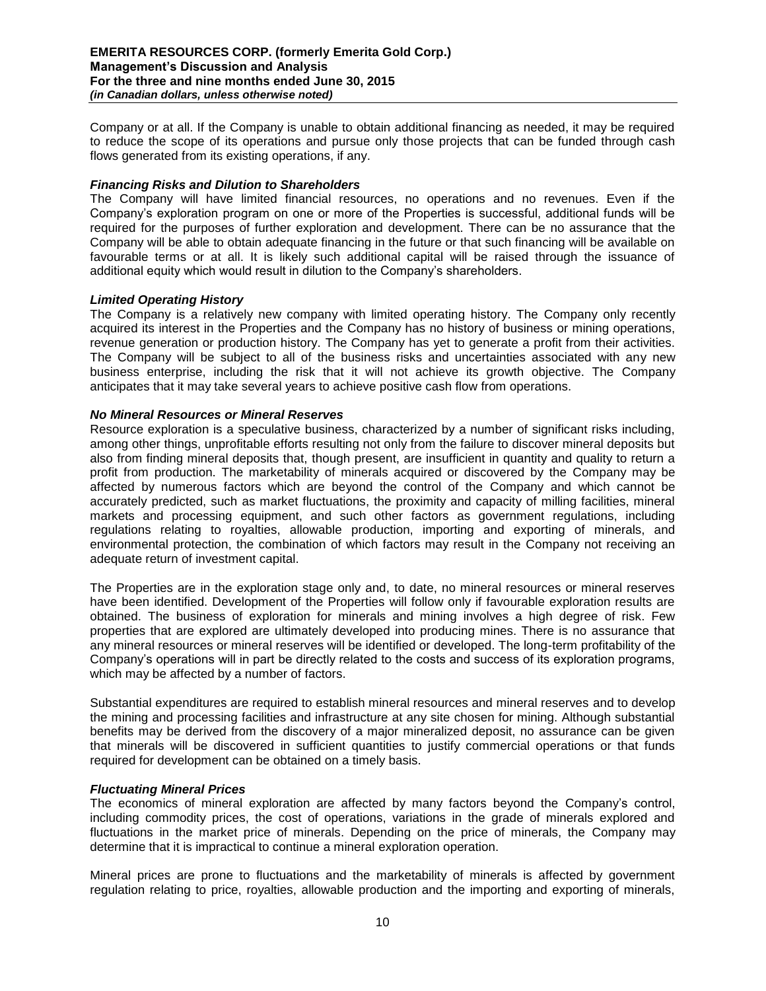Company or at all. If the Company is unable to obtain additional financing as needed, it may be required to reduce the scope of its operations and pursue only those projects that can be funded through cash flows generated from its existing operations, if any.

## *Financing Risks and Dilution to Shareholders*

The Company will have limited financial resources, no operations and no revenues. Even if the Company's exploration program on one or more of the Properties is successful, additional funds will be required for the purposes of further exploration and development. There can be no assurance that the Company will be able to obtain adequate financing in the future or that such financing will be available on favourable terms or at all. It is likely such additional capital will be raised through the issuance of additional equity which would result in dilution to the Company's shareholders.

### *Limited Operating History*

The Company is a relatively new company with limited operating history. The Company only recently acquired its interest in the Properties and the Company has no history of business or mining operations, revenue generation or production history. The Company has yet to generate a profit from their activities. The Company will be subject to all of the business risks and uncertainties associated with any new business enterprise, including the risk that it will not achieve its growth objective. The Company anticipates that it may take several years to achieve positive cash flow from operations.

#### *No Mineral Resources or Mineral Reserves*

Resource exploration is a speculative business, characterized by a number of significant risks including, among other things, unprofitable efforts resulting not only from the failure to discover mineral deposits but also from finding mineral deposits that, though present, are insufficient in quantity and quality to return a profit from production. The marketability of minerals acquired or discovered by the Company may be affected by numerous factors which are beyond the control of the Company and which cannot be accurately predicted, such as market fluctuations, the proximity and capacity of milling facilities, mineral markets and processing equipment, and such other factors as government regulations, including regulations relating to royalties, allowable production, importing and exporting of minerals, and environmental protection, the combination of which factors may result in the Company not receiving an adequate return of investment capital.

The Properties are in the exploration stage only and, to date, no mineral resources or mineral reserves have been identified. Development of the Properties will follow only if favourable exploration results are obtained. The business of exploration for minerals and mining involves a high degree of risk. Few properties that are explored are ultimately developed into producing mines. There is no assurance that any mineral resources or mineral reserves will be identified or developed. The long-term profitability of the Company's operations will in part be directly related to the costs and success of its exploration programs, which may be affected by a number of factors.

Substantial expenditures are required to establish mineral resources and mineral reserves and to develop the mining and processing facilities and infrastructure at any site chosen for mining. Although substantial benefits may be derived from the discovery of a major mineralized deposit, no assurance can be given that minerals will be discovered in sufficient quantities to justify commercial operations or that funds required for development can be obtained on a timely basis.

#### *Fluctuating Mineral Prices*

The economics of mineral exploration are affected by many factors beyond the Company's control, including commodity prices, the cost of operations, variations in the grade of minerals explored and fluctuations in the market price of minerals. Depending on the price of minerals, the Company may determine that it is impractical to continue a mineral exploration operation.

Mineral prices are prone to fluctuations and the marketability of minerals is affected by government regulation relating to price, royalties, allowable production and the importing and exporting of minerals,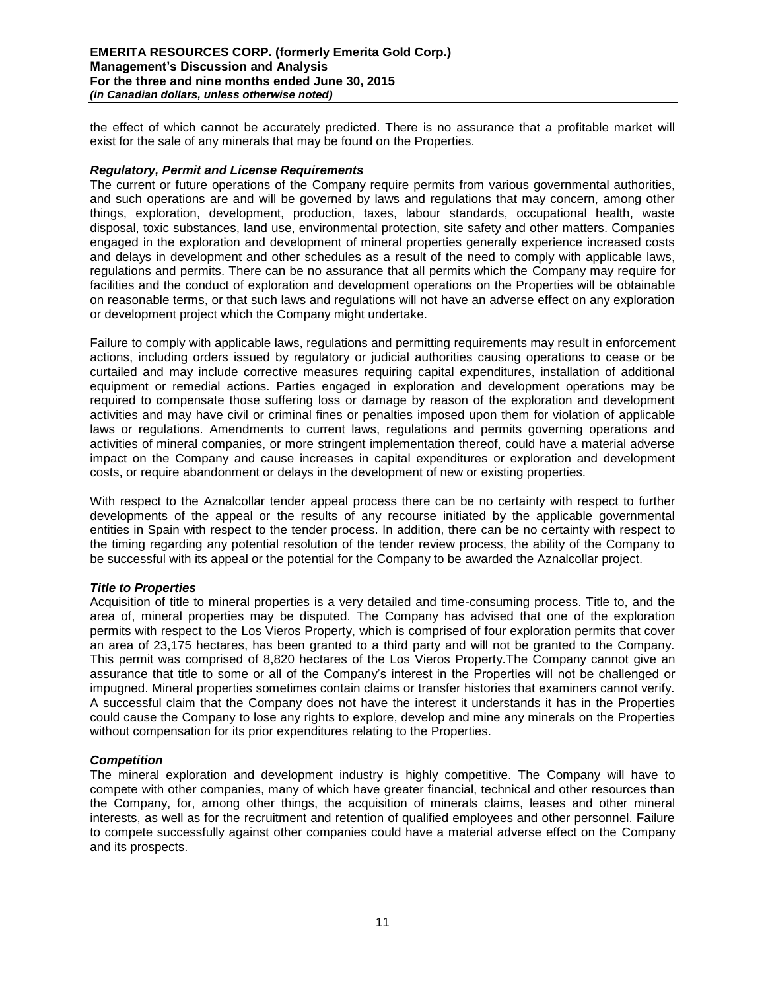the effect of which cannot be accurately predicted. There is no assurance that a profitable market will exist for the sale of any minerals that may be found on the Properties.

### *Regulatory, Permit and License Requirements*

The current or future operations of the Company require permits from various governmental authorities, and such operations are and will be governed by laws and regulations that may concern, among other things, exploration, development, production, taxes, labour standards, occupational health, waste disposal, toxic substances, land use, environmental protection, site safety and other matters. Companies engaged in the exploration and development of mineral properties generally experience increased costs and delays in development and other schedules as a result of the need to comply with applicable laws, regulations and permits. There can be no assurance that all permits which the Company may require for facilities and the conduct of exploration and development operations on the Properties will be obtainable on reasonable terms, or that such laws and regulations will not have an adverse effect on any exploration or development project which the Company might undertake.

Failure to comply with applicable laws, regulations and permitting requirements may result in enforcement actions, including orders issued by regulatory or judicial authorities causing operations to cease or be curtailed and may include corrective measures requiring capital expenditures, installation of additional equipment or remedial actions. Parties engaged in exploration and development operations may be required to compensate those suffering loss or damage by reason of the exploration and development activities and may have civil or criminal fines or penalties imposed upon them for violation of applicable laws or regulations. Amendments to current laws, regulations and permits governing operations and activities of mineral companies, or more stringent implementation thereof, could have a material adverse impact on the Company and cause increases in capital expenditures or exploration and development costs, or require abandonment or delays in the development of new or existing properties.

With respect to the Aznalcollar tender appeal process there can be no certainty with respect to further developments of the appeal or the results of any recourse initiated by the applicable governmental entities in Spain with respect to the tender process. In addition, there can be no certainty with respect to the timing regarding any potential resolution of the tender review process, the ability of the Company to be successful with its appeal or the potential for the Company to be awarded the Aznalcollar project.

## *Title to Properties*

Acquisition of title to mineral properties is a very detailed and time-consuming process. Title to, and the area of, mineral properties may be disputed. The Company has advised that one of the exploration permits with respect to the Los Vieros Property, which is comprised of four exploration permits that cover an area of 23,175 hectares, has been granted to a third party and will not be granted to the Company. This permit was comprised of 8,820 hectares of the Los Vieros Property.The Company cannot give an assurance that title to some or all of the Company's interest in the Properties will not be challenged or impugned. Mineral properties sometimes contain claims or transfer histories that examiners cannot verify. A successful claim that the Company does not have the interest it understands it has in the Properties could cause the Company to lose any rights to explore, develop and mine any minerals on the Properties without compensation for its prior expenditures relating to the Properties.

#### *Competition*

The mineral exploration and development industry is highly competitive. The Company will have to compete with other companies, many of which have greater financial, technical and other resources than the Company, for, among other things, the acquisition of minerals claims, leases and other mineral interests, as well as for the recruitment and retention of qualified employees and other personnel. Failure to compete successfully against other companies could have a material adverse effect on the Company and its prospects.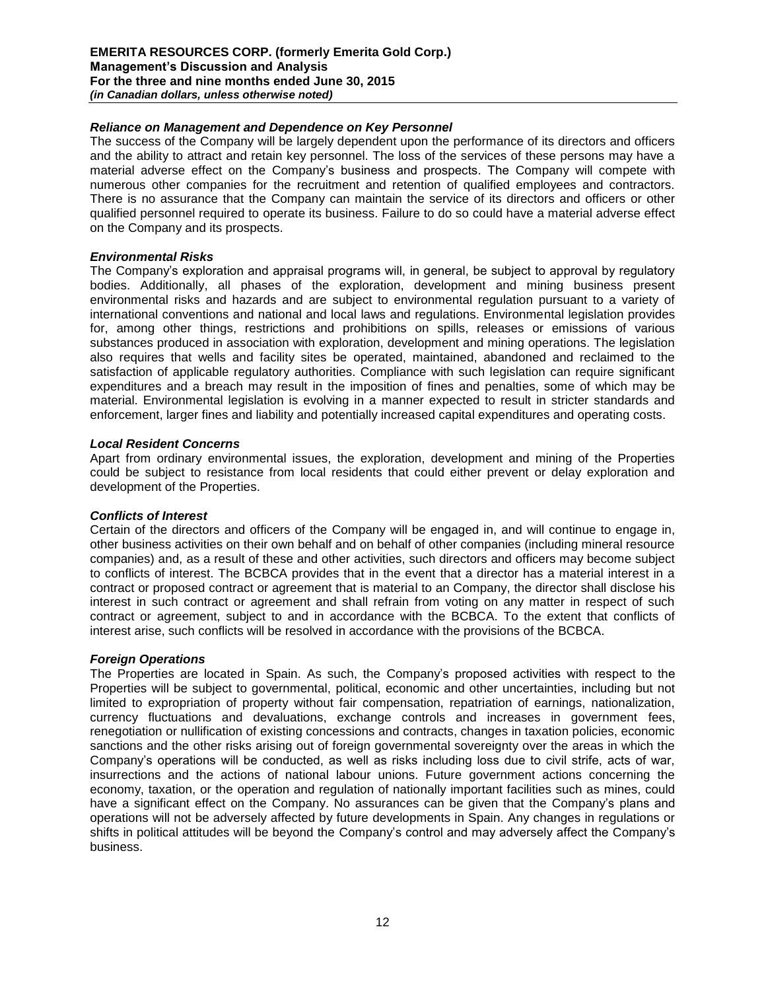### *Reliance on Management and Dependence on Key Personnel*

The success of the Company will be largely dependent upon the performance of its directors and officers and the ability to attract and retain key personnel. The loss of the services of these persons may have a material adverse effect on the Company's business and prospects. The Company will compete with numerous other companies for the recruitment and retention of qualified employees and contractors. There is no assurance that the Company can maintain the service of its directors and officers or other qualified personnel required to operate its business. Failure to do so could have a material adverse effect on the Company and its prospects.

### *Environmental Risks*

The Company's exploration and appraisal programs will, in general, be subject to approval by regulatory bodies. Additionally, all phases of the exploration, development and mining business present environmental risks and hazards and are subject to environmental regulation pursuant to a variety of international conventions and national and local laws and regulations. Environmental legislation provides for, among other things, restrictions and prohibitions on spills, releases or emissions of various substances produced in association with exploration, development and mining operations. The legislation also requires that wells and facility sites be operated, maintained, abandoned and reclaimed to the satisfaction of applicable regulatory authorities. Compliance with such legislation can require significant expenditures and a breach may result in the imposition of fines and penalties, some of which may be material. Environmental legislation is evolving in a manner expected to result in stricter standards and enforcement, larger fines and liability and potentially increased capital expenditures and operating costs.

#### *Local Resident Concerns*

Apart from ordinary environmental issues, the exploration, development and mining of the Properties could be subject to resistance from local residents that could either prevent or delay exploration and development of the Properties.

## *Conflicts of Interest*

Certain of the directors and officers of the Company will be engaged in, and will continue to engage in, other business activities on their own behalf and on behalf of other companies (including mineral resource companies) and, as a result of these and other activities, such directors and officers may become subject to conflicts of interest. The BCBCA provides that in the event that a director has a material interest in a contract or proposed contract or agreement that is material to an Company, the director shall disclose his interest in such contract or agreement and shall refrain from voting on any matter in respect of such contract or agreement, subject to and in accordance with the BCBCA. To the extent that conflicts of interest arise, such conflicts will be resolved in accordance with the provisions of the BCBCA.

#### *Foreign Operations*

The Properties are located in Spain. As such, the Company's proposed activities with respect to the Properties will be subject to governmental, political, economic and other uncertainties, including but not limited to expropriation of property without fair compensation, repatriation of earnings, nationalization, currency fluctuations and devaluations, exchange controls and increases in government fees, renegotiation or nullification of existing concessions and contracts, changes in taxation policies, economic sanctions and the other risks arising out of foreign governmental sovereignty over the areas in which the Company's operations will be conducted, as well as risks including loss due to civil strife, acts of war, insurrections and the actions of national labour unions. Future government actions concerning the economy, taxation, or the operation and regulation of nationally important facilities such as mines, could have a significant effect on the Company. No assurances can be given that the Company's plans and operations will not be adversely affected by future developments in Spain. Any changes in regulations or shifts in political attitudes will be beyond the Company's control and may adversely affect the Company's business.